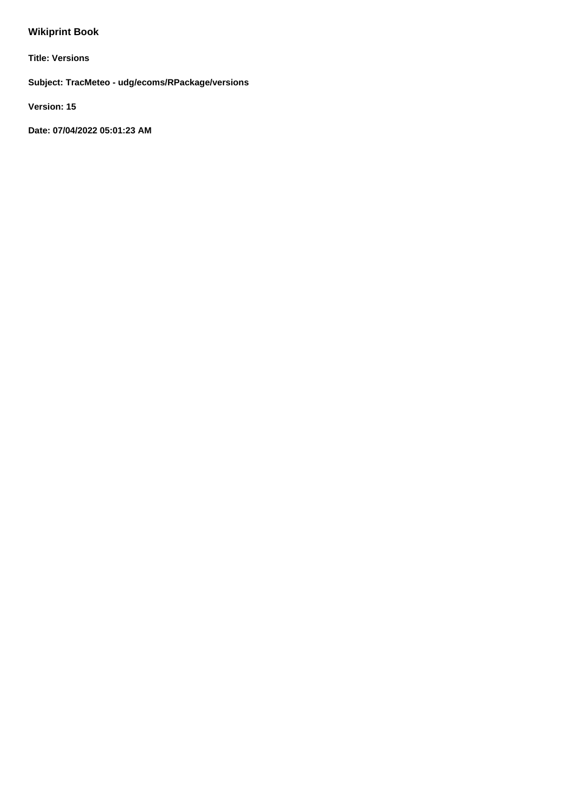# **Wikiprint Book**

**Title: Versions**

**Subject: TracMeteo - udg/ecoms/RPackage/versions**

**Version: 15**

**Date: 07/04/2022 05:01:23 AM**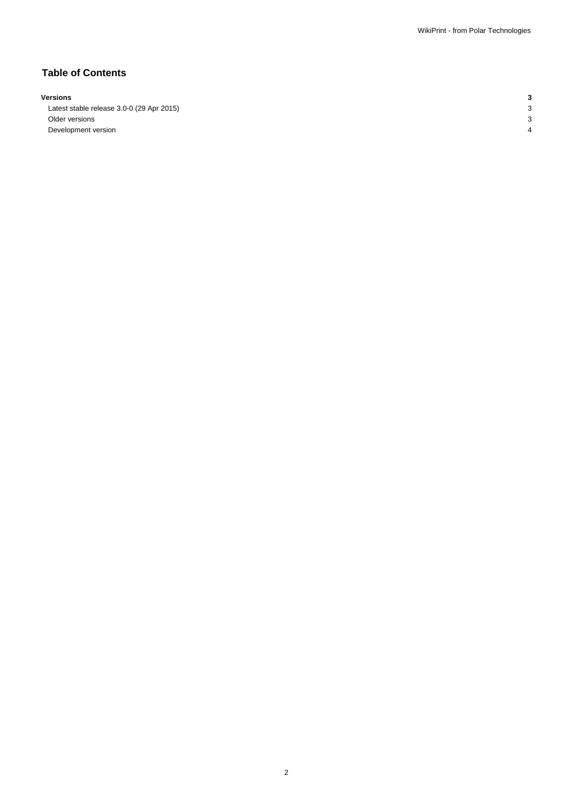## **Table of Contents**

#### **Versions 3**

Latest stable release 3.0-0 (29 Apr 2015) 3 Older versions 3 Development version 4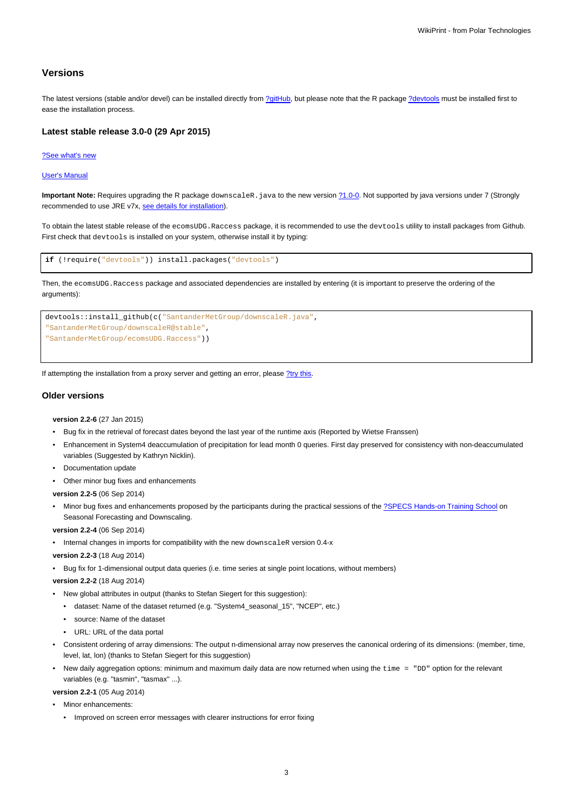### **Versions**

The latest versions (stable and/or devel) can be installed directly from [?gitHub,](https://github.com/SantanderMetGroup/ecomsUDG.Raccess) but please note that the R package [?devtools](http://cran.r-project.org/web/packages/devtools/index.html) must be installed first to ease the installation process.

#### **Latest stable release 3.0-0 (29 Apr 2015)**

#### [?See what's new](https://github.com/SantanderMetGroup/ecomsUDG.Raccess/releases/tag/v3.3-0)

#### [User's Manual](https://meteo.unican.es/trac/raw-attachment/wiki/EcomsUdg/DataPortal_Tutorial_v2.pdf)

Important Note: Requires upgrading the R package downscaleR. java to the new version  $\frac{?1.0-0.}{?}$  $\frac{?1.0-0.}{?}$  $\frac{?1.0-0.}{?}$  Not supported by java versions under 7 (Strongly recommended to use JRE v7x, [see details for installation](https://meteo.unican.es/trac/wiki/udg/ecoms/RPackage/prerequisites)).

To obtain the latest stable release of the ecomsUDG.Raccess package, it is recommended to use the devtools utility to install packages from Github. First check that devtools is installed on your system, otherwise install it by typing:

```
if (!require("devtools")) install.packages("devtools")
```
Then, the ecomsUDG.Raccess package and associated dependencies are installed by entering (it is important to preserve the ordering of the arguments):



If attempting the installation from a proxy server and getting an error, please [?try this.](http://meteo.unican.es/trac/wiki/udg/ecoms/RPackage/setup_proxy)

#### **Older versions**

**version 2.2-6** (27 Jan 2015)

- Bug fix in the retrieval of forecast dates beyond the last year of the runtime axis (Reported by Wietse Franssen)
- Enhancement in System4 deaccumulation of precipitation for lead month 0 queries. First day preserved for consistency with non-deaccumulated variables (Suggested by Kathryn Nicklin).
- Documentation update
- Other minor bug fixes and enhancements

**version 2.2-5** (06 Sep 2014)

Minor bug fixes and enhancements proposed by the participants during the practical sessions of the [?SPECS Hands-on Training School](http://www.meteo.unican.es/projects/specs/workshop2014) on Seasonal Forecasting and Downscaling.

**version 2.2-4** (06 Sep 2014)

• Internal changes in imports for compatibility with the new downscaleR version 0.4-x

**version 2.2-3** (18 Aug 2014)

• Bug fix for 1-dimensional output data queries (i.e. time series at single point locations, without members)

**version 2.2-2** (18 Aug 2014)

- New global attributes in output (thanks to Stefan Siegert for this suggestion):
	- dataset: Name of the dataset returned (e.g. "System4\_seasonal\_15", "NCEP", etc.)
	- source: Name of the dataset
	- URL: URL of the data portal
- Consistent ordering of array dimensions: The output n-dimensional array now preserves the canonical ordering of its dimensions: (member, time, level, lat, lon) (thanks to Stefan Siegert for this suggestion)
- New daily aggregation options: minimum and maximum daily data are now returned when using the time = "DD" option for the relevant variables (e.g. "tasmin", "tasmax" ...).

**version 2.2-1** (05 Aug 2014)

- Minor enhancements:
	- Improved on screen error messages with clearer instructions for error fixing